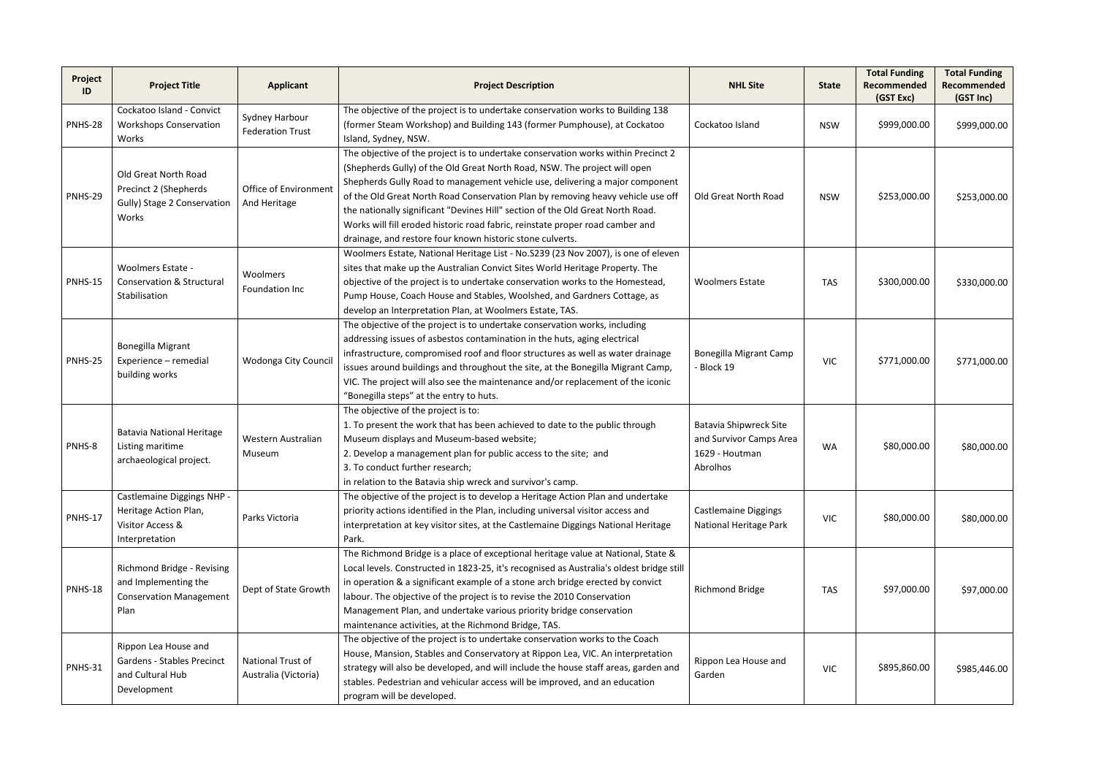| Project<br>ID  | <b>Project Title</b>                                                                         | <b>Applicant</b>                          | <b>Project Description</b>                                                                                                                                                                                                                                                                                                                                                                                                                                                                                                                                        | <b>NHL Site</b>                                                                        | <b>State</b> | <b>Total Funding</b><br>Recommended<br>(GST Exc) | <b>Total Funding</b><br>Recommended<br>(GST Inc) |
|----------------|----------------------------------------------------------------------------------------------|-------------------------------------------|-------------------------------------------------------------------------------------------------------------------------------------------------------------------------------------------------------------------------------------------------------------------------------------------------------------------------------------------------------------------------------------------------------------------------------------------------------------------------------------------------------------------------------------------------------------------|----------------------------------------------------------------------------------------|--------------|--------------------------------------------------|--------------------------------------------------|
| PNHS-28        | Cockatoo Island - Convict<br><b>Workshops Conservation</b><br>Works                          | Sydney Harbour<br><b>Federation Trust</b> | The objective of the project is to undertake conservation works to Building 138<br>(former Steam Workshop) and Building 143 (former Pumphouse), at Cockatoo<br>Island, Sydney, NSW.                                                                                                                                                                                                                                                                                                                                                                               | Cockatoo Island                                                                        | <b>NSW</b>   | \$999,000.00                                     | \$999,000.00                                     |
| <b>PNHS-29</b> | Old Great North Road<br>Precinct 2 (Shepherds<br>Gully) Stage 2 Conservation<br>Works        | Office of Environment<br>And Heritage     | The objective of the project is to undertake conservation works within Precinct 2<br>(Shepherds Gully) of the Old Great North Road, NSW. The project will open<br>Shepherds Gully Road to management vehicle use, delivering a major component<br>of the Old Great North Road Conservation Plan by removing heavy vehicle use off<br>the nationally significant "Devines Hill" section of the Old Great North Road.<br>Works will fill eroded historic road fabric, reinstate proper road camber and<br>drainage, and restore four known historic stone culverts. | Old Great North Road                                                                   | <b>NSW</b>   | \$253,000.00                                     | \$253,000.00                                     |
| <b>PNHS-15</b> | <b>Woolmers Estate -</b><br><b>Conservation &amp; Structural</b><br>Stabilisation            | Woolmers<br>Foundation Inc                | Woolmers Estate, National Heritage List - No. S239 (23 Nov 2007), is one of eleven<br>sites that make up the Australian Convict Sites World Heritage Property. The<br>objective of the project is to undertake conservation works to the Homestead,<br>Pump House, Coach House and Stables, Woolshed, and Gardners Cottage, as<br>develop an Interpretation Plan, at Woolmers Estate, TAS.                                                                                                                                                                        | <b>Woolmers Estate</b>                                                                 | <b>TAS</b>   | \$300,000.00                                     | \$330,000.00                                     |
| <b>PNHS-25</b> | <b>Bonegilla Migrant</b><br>Experience - remedial<br>building works                          | Wodonga City Council                      | The objective of the project is to undertake conservation works, including<br>addressing issues of asbestos contamination in the huts, aging electrical<br>infrastructure, compromised roof and floor structures as well as water drainage<br>issues around buildings and throughout the site, at the Bonegilla Migrant Camp,<br>VIC. The project will also see the maintenance and/or replacement of the iconic<br>"Bonegilla steps" at the entry to huts.                                                                                                       | <b>Bonegilla Migrant Camp</b><br>- Block 19                                            | <b>VIC</b>   | \$771,000.00                                     | \$771,000.00                                     |
| PNHS-8         | <b>Batavia National Heritage</b><br>Listing maritime<br>archaeological project.              | Western Australian<br>Museum              | The objective of the project is to:<br>1. To present the work that has been achieved to date to the public through<br>Museum displays and Museum-based website;<br>2. Develop a management plan for public access to the site; and<br>3. To conduct further research;<br>in relation to the Batavia ship wreck and survivor's camp.                                                                                                                                                                                                                               | <b>Batavia Shipwreck Site</b><br>and Survivor Camps Area<br>1629 - Houtman<br>Abrolhos | <b>WA</b>    | \$80,000.00                                      | \$80,000.00                                      |
| <b>PNHS-17</b> | Castlemaine Diggings NHP -<br>Heritage Action Plan,<br>Visitor Access &<br>Interpretation    | Parks Victoria                            | The objective of the project is to develop a Heritage Action Plan and undertake<br>priority actions identified in the Plan, including universal visitor access and<br>interpretation at key visitor sites, at the Castlemaine Diggings National Heritage<br>Park.                                                                                                                                                                                                                                                                                                 | <b>Castlemaine Diggings</b><br><b>National Heritage Park</b>                           | <b>VIC</b>   | \$80,000.00                                      | \$80,000.00                                      |
| <b>PNHS-18</b> | Richmond Bridge - Revising<br>and Implementing the<br><b>Conservation Management</b><br>Plan | Dept of State Growth                      | The Richmond Bridge is a place of exceptional heritage value at National, State &<br>Local levels. Constructed in 1823-25, it's recognised as Australia's oldest bridge still<br>in operation & a significant example of a stone arch bridge erected by convict<br>labour. The objective of the project is to revise the 2010 Conservation<br>Management Plan, and undertake various priority bridge conservation<br>maintenance activities, at the Richmond Bridge, TAS.                                                                                         | <b>Richmond Bridge</b>                                                                 | <b>TAS</b>   | \$97,000.00                                      | \$97,000.00                                      |
| <b>PNHS-31</b> | Rippon Lea House and<br><b>Gardens - Stables Precinct</b><br>and Cultural Hub<br>Development | National Trust of<br>Australia (Victoria) | The objective of the project is to undertake conservation works to the Coach<br>House, Mansion, Stables and Conservatory at Rippon Lea, VIC. An interpretation<br>strategy will also be developed, and will include the house staff areas, garden and<br>stables. Pedestrian and vehicular access will be improved, and an education<br>program will be developed.                                                                                                                                                                                                | Rippon Lea House and<br>Garden                                                         | <b>VIC</b>   | \$895,860.00                                     | \$985,446.00                                     |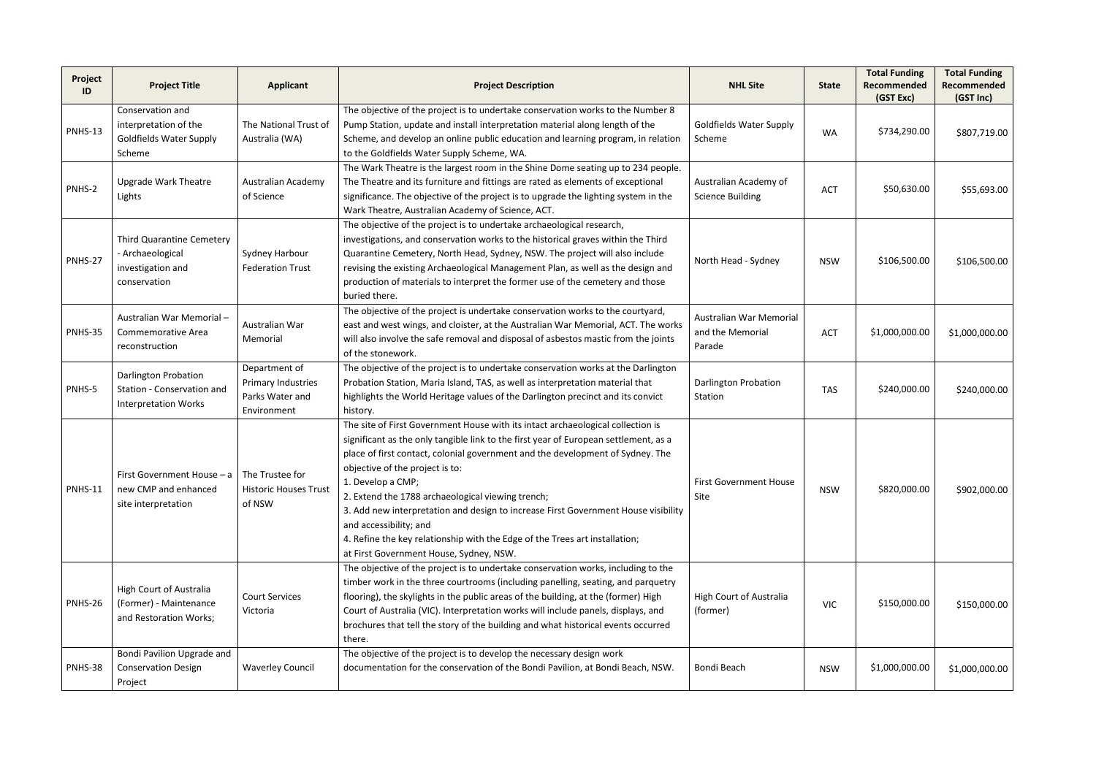| Project<br>ID  | <b>Project Title</b>                                                                             | <b>Applicant</b>                                                      | <b>Project Description</b>                                                                                                                                                                                                                                                                                                                                                                                                                                                                                                                                                                                       | <b>NHL Site</b>                                       | <b>State</b> | <b>Total Funding</b><br>Recommended<br>(GST Exc) | <b>Total Funding</b><br>Recommended<br>(GST Inc) |
|----------------|--------------------------------------------------------------------------------------------------|-----------------------------------------------------------------------|------------------------------------------------------------------------------------------------------------------------------------------------------------------------------------------------------------------------------------------------------------------------------------------------------------------------------------------------------------------------------------------------------------------------------------------------------------------------------------------------------------------------------------------------------------------------------------------------------------------|-------------------------------------------------------|--------------|--------------------------------------------------|--------------------------------------------------|
| <b>PNHS-13</b> | Conservation and<br>interpretation of the<br><b>Goldfields Water Supply</b><br>Scheme            | The National Trust of<br>Australia (WA)                               | The objective of the project is to undertake conservation works to the Number 8<br>Pump Station, update and install interpretation material along length of the<br>Scheme, and develop an online public education and learning program, in relation<br>to the Goldfields Water Supply Scheme, WA.                                                                                                                                                                                                                                                                                                                | <b>Goldfields Water Supply</b><br>Scheme              | <b>WA</b>    | \$734,290.00                                     | \$807,719.00                                     |
| PNHS-2         | <b>Upgrade Wark Theatre</b><br>Lights                                                            | Australian Academy<br>of Science                                      | The Wark Theatre is the largest room in the Shine Dome seating up to 234 people.<br>The Theatre and its furniture and fittings are rated as elements of exceptional<br>significance. The objective of the project is to upgrade the lighting system in the<br>Wark Theatre, Australian Academy of Science, ACT.                                                                                                                                                                                                                                                                                                  | Australian Academy of<br><b>Science Building</b>      | <b>ACT</b>   | \$50,630.00                                      | \$55,693.00                                      |
| PNHS-27        | Third Quarantine Cemetery<br>- Archaeological<br>investigation and<br>conservation               | Sydney Harbour<br><b>Federation Trust</b>                             | The objective of the project is to undertake archaeological research,<br>investigations, and conservation works to the historical graves within the Third<br>Quarantine Cemetery, North Head, Sydney, NSW. The project will also include<br>revising the existing Archaeological Management Plan, as well as the design and<br>production of materials to interpret the former use of the cemetery and those<br>buried there.                                                                                                                                                                                    | North Head - Sydney                                   | <b>NSW</b>   | \$106,500.00                                     | \$106,500.00                                     |
| PNHS-35        | Australian War Memorial-<br><b>Commemorative Area</b><br>reconstruction                          | Australian War<br>Memorial                                            | The objective of the project is undertake conservation works to the courtyard,<br>east and west wings, and cloister, at the Australian War Memorial, ACT. The works<br>will also involve the safe removal and disposal of asbestos mastic from the joints<br>of the stonework.                                                                                                                                                                                                                                                                                                                                   | Australian War Memorial<br>and the Memorial<br>Parade | <b>ACT</b>   | \$1,000,000.00                                   | \$1,000,000.00                                   |
| PNHS-5         | <b>Darlington Probation</b><br>Station - Conservation and<br><b>Interpretation Works</b>         | Department of<br>Primary Industries<br>Parks Water and<br>Environment | The objective of the project is to undertake conservation works at the Darlington<br>Probation Station, Maria Island, TAS, as well as interpretation material that<br>highlights the World Heritage values of the Darlington precinct and its convict<br>history.                                                                                                                                                                                                                                                                                                                                                | <b>Darlington Probation</b><br>Station                | <b>TAS</b>   | \$240,000.00                                     | \$240,000.00                                     |
| <b>PNHS-11</b> | First Government House $- a \mid$ The Trustee for<br>new CMP and enhanced<br>site interpretation | <b>Historic Houses Trust</b><br>of NSW                                | The site of First Government House with its intact archaeological collection is<br>significant as the only tangible link to the first year of European settlement, as a<br>place of first contact, colonial government and the development of Sydney. The<br>objective of the project is to:<br>1. Develop a CMP;<br>2. Extend the 1788 archaeological viewing trench;<br>3. Add new interpretation and design to increase First Government House visibility<br>and accessibility; and<br>4. Refine the key relationship with the Edge of the Trees art installation;<br>at First Government House, Sydney, NSW. | <b>First Government House</b><br>Site                 | <b>NSW</b>   | \$820,000.00                                     | \$902,000.00                                     |
| PNHS-26        | High Court of Australia<br>(Former) - Maintenance<br>and Restoration Works;                      | <b>Court Services</b><br>Victoria                                     | The objective of the project is to undertake conservation works, including to the<br>timber work in the three courtrooms (including panelling, seating, and parquetry<br>flooring), the skylights in the public areas of the building, at the (former) High<br>Court of Australia (VIC). Interpretation works will include panels, displays, and<br>brochures that tell the story of the building and what historical events occurred<br>there.                                                                                                                                                                  | High Court of Australia<br>(former)                   | <b>VIC</b>   | \$150,000.00                                     | \$150,000.00                                     |
| PNHS-38        | Bondi Pavilion Upgrade and<br><b>Conservation Design</b><br>Project                              | <b>Waverley Council</b>                                               | The objective of the project is to develop the necessary design work<br>documentation for the conservation of the Bondi Pavilion, at Bondi Beach, NSW.                                                                                                                                                                                                                                                                                                                                                                                                                                                           | Bondi Beach                                           | <b>NSW</b>   | \$1,000,000.00                                   | \$1,000,000.00                                   |